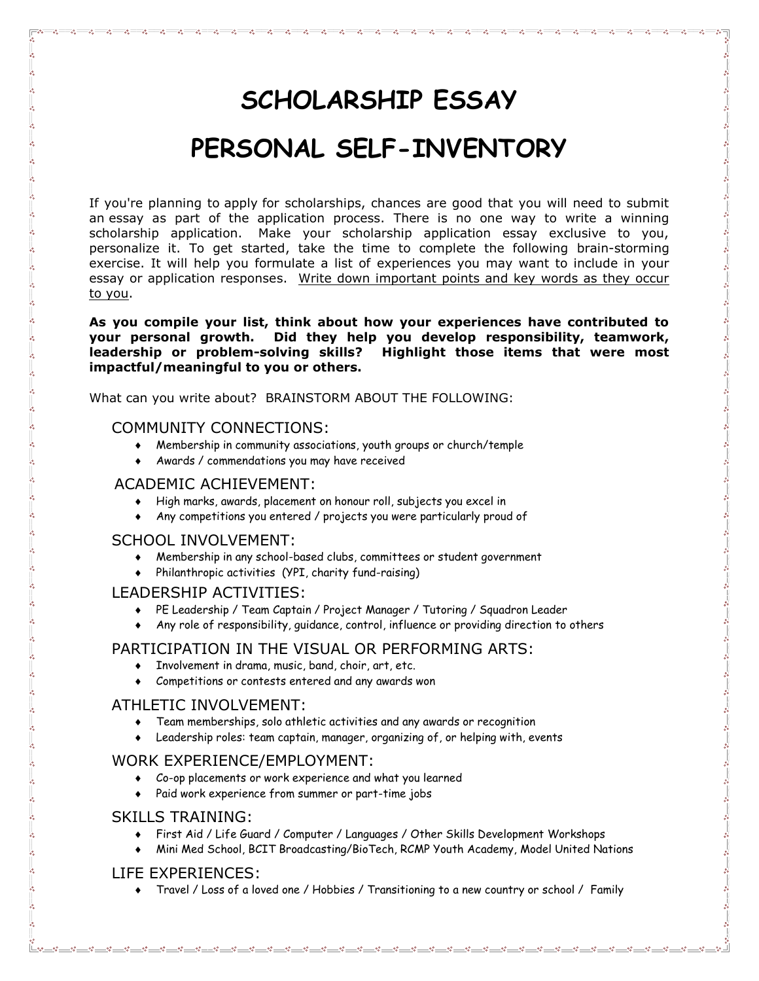# **SCHOLARSHIP ESSAY PERSONAL SELF-INVENTORY**

If you're planning to apply for scholarships, chances are good that you will need to submit an essay as part of the application process. There is no one way to write a winning scholarship application. Make your scholarship application essay exclusive to you, personalize it. To get started, take the time to complete the following brain-storming exercise. It will help you formulate a list of experiences you may want to include in your essay or application responses. Write down important points and key words as they occur to you.

**As you compile your list, think about how your experiences have contributed to your personal growth. Did they help you develop responsibility, teamwork, leadership or problem-solving skills? Highlight those items that were most impactful/meaningful to you or others.** 

What can you write about? BRAINSTORM ABOUT THE FOLLOWING:

#### COMMUNITY CONNECTIONS:

- Membership in community associations, youth groups or church/temple
- Awards / commendations you may have received

### ACADEMIC ACHIEVEMENT:

- High marks, awards, placement on honour roll, subjects you excel in
- Any competitions you entered / projects you were particularly proud of

## SCHOOL INVOLVEMENT:

- Membership in any school-based clubs, committees or student government
- Philanthropic activities (YPI, charity fund-raising)

## LEADERSHIP ACTIVITIES:

- PE Leadership / Team Captain / Project Manager / Tutoring / Squadron Leader
- Any role of responsibility, guidance, control, influence or providing direction to others

## PARTICIPATION IN THE VISUAL OR PERFORMING ARTS:

- Involvement in drama, music, band, choir, art, etc.
- Competitions or contests entered and any awards won

## ATHLETIC INVOLVEMENT:

- Team memberships, solo athletic activities and any awards or recognition
- Leadership roles: team captain, manager, organizing of, or helping with, events

## WORK EXPERIENCE/EMPLOYMENT:

- Co-op placements or work experience and what you learned
- Paid work experience from summer or part-time jobs

## SKILLS TRAINING:

- First Aid / Life Guard / Computer / Languages / Other Skills Development Workshops
- Mini Med School, BCIT Broadcasting/BioTech, RCMP Youth Academy, Model United Nations

## LIFE EXPERIENCES:

Travel / Loss of a loved one / Hobbies / Transitioning to a new country or school / Family